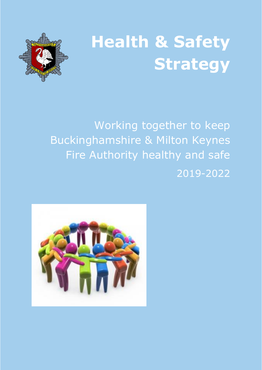



Working together to keep Buckinghamshire & Milton Keynes Fire Authority healthy and safe 2019-2022

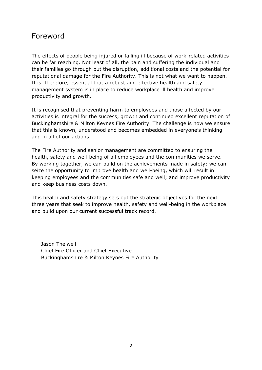# Foreword

The effects of people being injured or falling ill because of work-related activities can be far reaching. Not least of all, the pain and suffering the individual and their families go through but the disruption, additional costs and the potential for reputational damage for the Fire Authority. This is not what we want to happen. It is, therefore, essential that a robust and effective health and safety management system is in place to reduce workplace ill health and improve productivity and growth.

It is recognised that preventing harm to employees and those affected by our activities is integral for the success, growth and continued excellent reputation of Buckinghamshire & Milton Keynes Fire Authority. The challenge is how we ensure that this is known, understood and becomes embedded in everyone's thinking and in all of our actions.

The Fire Authority and senior management are committed to ensuring the health, safety and well-being of all employees and the communities we serve. By working together, we can build on the achievements made in safety; we can seize the opportunity to improve health and well-being, which will result in keeping employees and the communities safe and well; and improve productivity and keep business costs down.

This health and safety strategy sets out the strategic objectives for the next three years that seek to improve health, safety and well-being in the workplace and build upon our current successful track record.

Jason Thelwell Chief Fire Officer and Chief Executive Buckinghamshire & Milton Keynes Fire Authority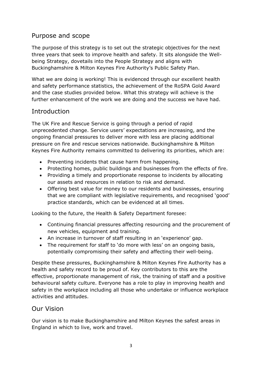# Purpose and scope

The purpose of this strategy is to set out the strategic objectives for the next three years that seek to improve health and safety. It sits alongside the Wellbeing Strategy, dovetails into the People Strategy and aligns with Buckinghamshire & Milton Keynes Fire Authority's Public Safety Plan.

What we are doing is working! This is evidenced through our excellent health and safety performance statistics, the achievement of the RoSPA Gold Award and the case studies provided below. What this strategy will achieve is the further enhancement of the work we are doing and the success we have had.

# **Introduction**

The UK Fire and Rescue Service is going through a period of rapid unprecedented change. Service users' expectations are increasing, and the ongoing financial pressures to deliver more with less are placing additional pressure on fire and rescue services nationwide. Buckinghamshire & Milton Keynes Fire Authority remains committed to delivering its priorities, which are:

- Preventing incidents that cause harm from happening.
- Protecting homes, public buildings and businesses from the effects of fire.
- Providing a timely and proportionate response to incidents by allocating our assets and resources in relation to risk and demand.
- Offering best value for money to our residents and businesses, ensuring that we are compliant with legislative requirements, and recognised 'good' practice standards, which can be evidenced at all times.

Looking to the future, the Health & Safety Department foresee:

- Continuing financial pressures affecting resourcing and the procurement of new vehicles, equipment and training.
- An increase in turnover of staff resulting in an 'experience' gap.
- The requirement for staff to 'do more with less' on an ongoing basis, potentially compromising their safety and affecting their well-being.

Despite these pressures, Buckinghamshire & Milton Keynes Fire Authority has a health and safety record to be proud of. Key contributors to this are the effective, proportionate management of risk, the training of staff and a positive behavioural safety culture. Everyone has a role to play in improving health and safety in the workplace including all those who undertake or influence workplace activities and attitudes.

### Our Vision

Our vision is to make Buckinghamshire and Milton Keynes the safest areas in England in which to live, work and travel.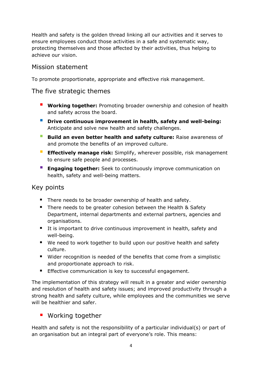Health and safety is the golden thread linking all our activities and it serves to ensure employees conduct those activities in a safe and systematic way, protecting themselves and those affected by their activities, thus helping to achieve our vision.

### Mission statement

To promote proportionate, appropriate and effective risk management.

## The five strategic themes

- **Working together:** Promoting broader ownership and cohesion of health and safety across the board.
- **Drive continuous improvement in health, safety and well-being:**  Anticipate and solve new health and safety challenges.
- **Build an even better health and safety culture:** Raise awareness of and promote the benefits of an improved culture.
- **Effectively manage risk:** Simplify, wherever possible, risk management to ensure safe people and processes.
- **Engaging together:** Seek to continuously improve communication on health, safety and well-being matters.

## Key points

- There needs to be broader ownership of health and safety.
- There needs to be greater cohesion between the Health & Safety Department, internal departments and external partners, agencies and organisations.
- It is important to drive continuous improvement in health, safety and well-being.
- We need to work together to build upon our positive health and safety culture.
- Wider recognition is needed of the benefits that come from a simplistic and proportionate approach to risk.
- **Effective communication is key to successful engagement.**

The implementation of this strategy will result in a greater and wider ownership and resolution of health and safety issues; and improved productivity through a strong health and safety culture, while employees and the communities we serve will be healthier and safer.

## **Working together**

Health and safety is not the responsibility of a particular individual(s) or part of an organisation but an integral part of everyone's role. This means: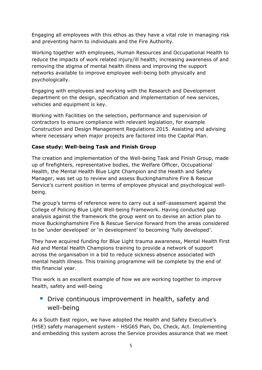Engaging all employees with this ethos as they have a vital role in managing risk and preventing harm to individuals and the Fire Authority.

Working together with employees, Human Resources and Occupational Health to reduce the impacts of work related injury/ill health; increasing awareness of and removing the stigma of mental health illness and improving the support networks available to improve employee well-being both physically and psychologically.

Engaging with employees and working with the Research and Development department on the design, specification and implementation of new services, vehicles and equipment is key.

Working with Facilities on the selection, performance and supervision of contractors to ensure compliance with relevant legislation, for example Construction and Design Management Regulations 2015. Assisting and advising where necessary when major projects are factored into the Capital Plan.

#### **Case study: Well-being Task and Finish Group**

The creation and implementation of the Well-being Task and Finish Group, made up of firefighters, representative bodies, the Welfare Officer, Occupational Health, the Mental Health Blue Light Champion and the Health and Safety Manager, was set up to review and assess Buckinghamshire Fire & Rescue Service's current position in terms of employee physical and psychological wellbeing.

The group's terms of reference were to carry out a self–assessment against the College of Policing Blue Light Well-being Framework. Having conducted gap analysis against the framework the group went on to devise an action plan to move Buckinghamshire Fire & Rescue Service forward from the areas considered to be 'under developed' or 'in development' to becoming 'fully developed'.

They have acquired funding for Blue Light trauma awareness, Mental Health First Aid and Mental Health Champions training to provide a network of support across the organisation in a bid to reduce sickness absence associated with mental health illness. This training programme will be complete by the end of this financial year.

This work is an excellent example of how we are working together to improve health, safety and well-being

# **Drive continuous improvement in health, safety and** well-being

As a South East region, we have adopted the Health and Safety Executive's (HSE) safety management system - HSG65 Plan, Do, Check, Act. Implementing and embedding this system across the Service provides assurance that we meet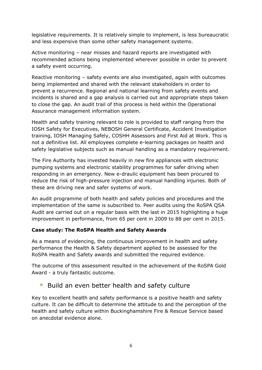legislative requirements. It is relatively simple to implement, is less bureaucratic and less expensive than some other safety management systems.

Active monitoring – near misses and hazard reports are investigated with recommended actions being implemented wherever possible in order to prevent a safety event occurring.

Reactive monitoring – safety events are also investigated, again with outcomes being implemented and shared with the relevant stakeholders in order to prevent a recurrence. Regional and national learning from safety events and incidents is shared and a gap analysis is carried out and appropriate steps taken to close the gap. An audit trail of this process is held within the Operational Assurance management information system.

Health and safety training relevant to role is provided to staff ranging from the IOSH Safety for Executives, NEBOSH General Certificate, Accident Investigation training, IOSH Managing Safely, COSHH Assessors and First Aid at Work. This is not a definitive list. All employees complete e-learning packages on health and safety legislative subjects such as manual handling as a mandatory requirement.

The Fire Authority has invested heavily in new fire appliances with electronic pumping systems and electronic stability programmes for safer driving when responding in an emergency. New e-draulic equipment has been procured to reduce the risk of high-pressure injection and manual handling injuries. Both of these are driving new and safer systems of work.

An audit programme of both health and safety policies and procedures and the implementation of the same is subscribed to. Peer audits using the RoSPA QSA Audit are carried out on a regular basis with the last in 2015 highlighting a huge improvement in performance, from 65 per cent in 2009 to 88 per cent in 2015.

#### **Case study: The RoSPA Health and Safety Awards**

As a means of evidencing, the continuous improvement in health and safety performance the Health & Safety department applied to be assessed for the RoSPA Health and Safety awards and submitted the required evidence.

The outcome of this assessment resulted in the achievement of the RoSPA Gold Award - a truly fantastic outcome.

### Build an even better health and safety culture

Key to excellent health and safety performance is a positive health and safety culture. It can be difficult to determine the attitude to and the perception of the health and safety culture within Buckinghamshire Fire & Rescue Service based on anecdotal evidence alone.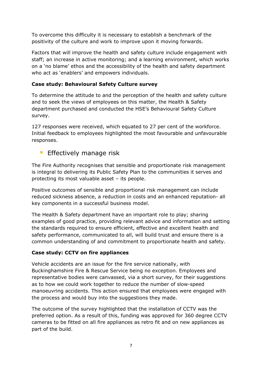To overcome this difficulty it is necessary to establish a benchmark of the positivity of the culture and work to improve upon it moving forwards.

Factors that will improve the health and safety culture include engagement with staff; an increase in active monitoring; and a learning environment, which works on a 'no blame' ethos and the accessibility of the health and safety department who act as 'enablers' and empowers individuals.

### **Case study: Behavioural Safety Culture survey**

To determine the attitude to and the perception of the health and safety culture and to seek the views of employees on this matter, the Health & Safety department purchased and conducted the HSE's Behavioural Safety Culture survey.

127 responses were received, which equated to 27 per cent of the workforce. Initial feedback to employees highlighted the most favourable and unfavourable responses.

## **Effectively manage risk**

The Fire Authority recognises that sensible and proportionate risk management is integral to delivering its Public Safety Plan to the communities it serves and protecting its most valuable asset – its people.

Positive outcomes of sensible and proportional risk management can include reduced sickness absence, a reduction in costs and an enhanced reputation- all key components in a successful business model.

The Health & Safety department have an important role to play; sharing examples of good practice, providing relevant advice and information and setting the standards required to ensure efficient, effective and excellent health and safety performance, communicated to all, will build trust and ensure there is a common understanding of and commitment to proportionate health and safety.

### **Case study: CCTV on fire appliances**

Vehicle accidents are an issue for the fire service nationally, with Buckinghamshire Fire & Rescue Service being no exception. Employees and representative bodies were canvassed, via a short survey, for their suggestions as to how we could work together to reduce the number of slow-speed manoeuvring accidents. This action ensured that employees were engaged with the process and would buy into the suggestions they made.

The outcome of the survey highlighted that the installation of CCTV was the preferred option. As a result of this, funding was approved for 360 degree CCTV cameras to be fitted on all fire appliances as retro fit and on new appliances as part of the build.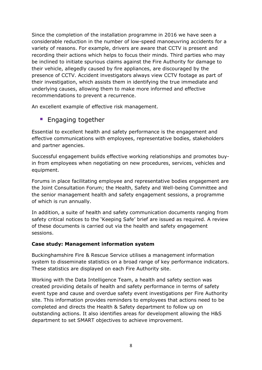Since the completion of the installation programme in 2016 we have seen a considerable reduction in the number of low-speed manoeuvring accidents for a variety of reasons. For example, drivers are aware that CCTV is present and recording their actions which helps to focus their minds. Third parties who may be inclined to initiate spurious claims against the Fire Authority for damage to their vehicle, allegedly caused by fire appliances, are discouraged by the presence of CCTV. Accident investigators always view CCTV footage as part of their investigation, which assists them in identifying the true immediate and underlying causes, allowing them to make more informed and effective recommendations to prevent a recurrence.

An excellent example of effective risk management.

### **Engaging together**

Essential to excellent health and safety performance is the engagement and effective communications with employees, representative bodies, stakeholders and partner agencies.

Successful engagement builds effective working relationships and promotes buyin from employees when negotiating on new procedures, services, vehicles and equipment.

Forums in place facilitating employee and representative bodies engagement are the Joint Consultation Forum; the Health, Safety and Well-being Committee and the senior management health and safety engagement sessions, a programme of which is run annually.

In addition, a suite of health and safety communication documents ranging from safety critical notices to the 'Keeping Safe' brief are issued as required. A review of these documents is carried out via the health and safety engagement sessions.

#### **Case study: Management information system**

Buckinghamshire Fire & Rescue Service utilises a management information system to disseminate statistics on a broad range of key performance indicators. These statistics are displayed on each Fire Authority site.

Working with the Data Intelligence Team, a health and safety section was created providing details of health and safety performance in terms of safety event type and cause and overdue safety event investigations per Fire Authority site. This information provides reminders to employees that actions need to be completed and directs the Health & Safety department to follow up on outstanding actions. It also identifies areas for development allowing the H&S department to set SMART objectives to achieve improvement.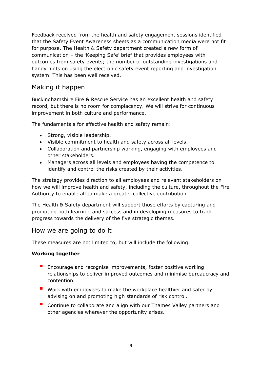Feedback received from the health and safety engagement sessions identified that the Safety Event Awareness sheets as a communication media were not fit for purpose. The Health & Safety department created a new form of communication – the 'Keeping Safe' brief that provides employees with outcomes from safety events; the number of outstanding investigations and handy hints on using the electronic safety event reporting and investigation system. This has been well received.

# Making it happen

Buckinghamshire Fire & Rescue Service has an excellent health and safety record, but there is no room for complacency. We will strive for continuous improvement in both culture and performance.

The fundamentals for effective health and safety remain:

- Strong, visible leadership.
- Visible commitment to health and safety across all levels.
- Collaboration and partnership working, engaging with employees and other stakeholders.
- Managers across all levels and employees having the competence to identify and control the risks created by their activities.

The strategy provides direction to all employees and relevant stakeholders on how we will improve health and safety, including the culture, throughout the Fire Authority to enable all to make a greater collective contribution.

The Health & Safety department will support those efforts by capturing and promoting both learning and success and in developing measures to track progress towards the delivery of the five strategic themes.

### How we are going to do it

These measures are not limited to, but will include the following:

#### **Working together**

- **Encourage and recognise improvements, foster positive working** relationships to deliver improved outcomes and minimise bureaucracy and contention.
- Work with employees to make the workplace healthier and safer by advising on and promoting high standards of risk control.
- Continue to collaborate and align with our Thames Valley partners and other agencies wherever the opportunity arises.